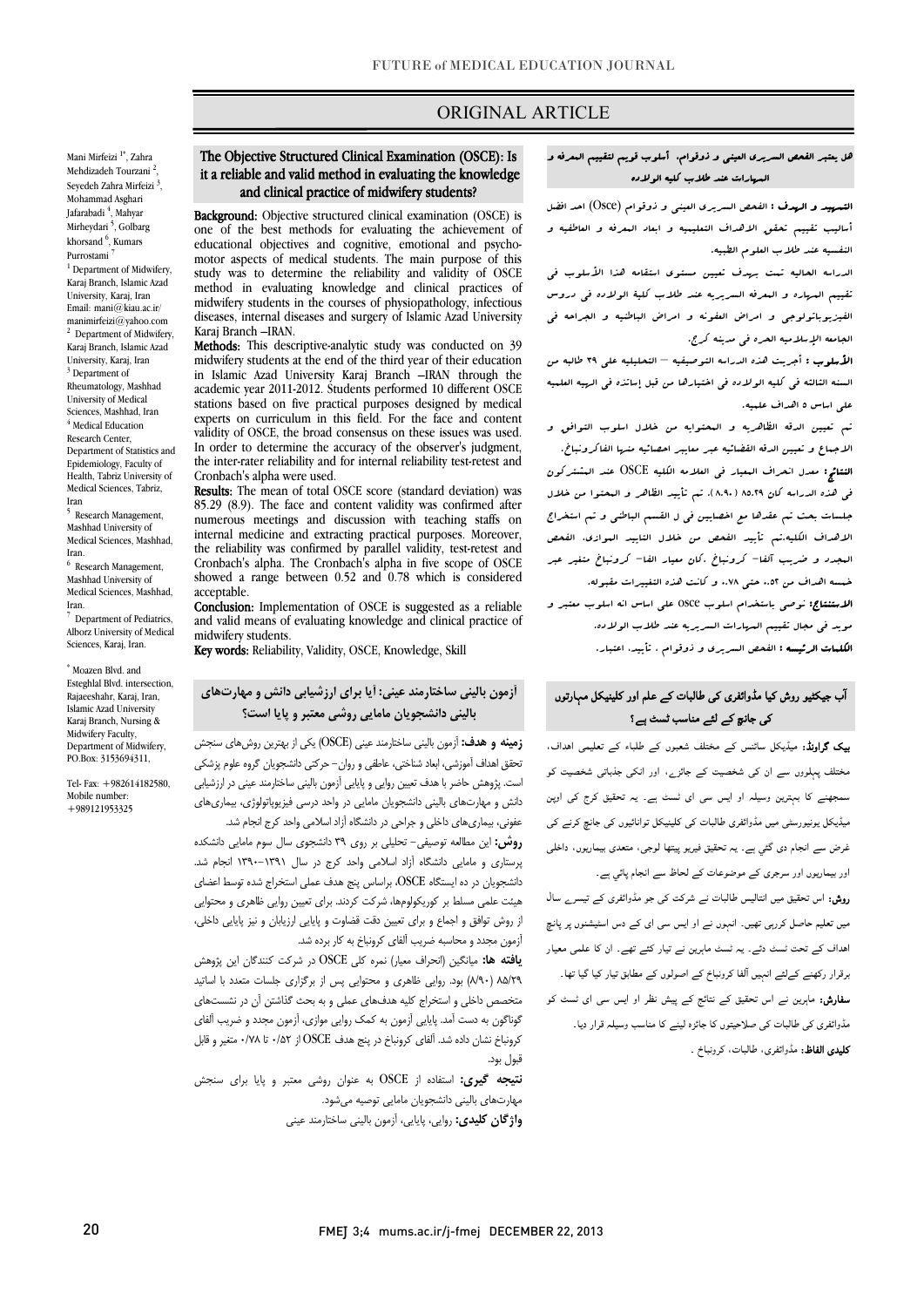## ORIGINAL ARTICLE

Mani Mirfeizi <sup>1\*</sup>, Zahra Mehdizadeh Tourzani<sup>2</sup>, Seyedeh Zahra Mirfeizi<sup>3</sup>, Mohammad Asghari Jafarabadi <sup>4</sup>, Mahyar Mirheydari <sup>5</sup>, Golbarg khorsand <sup>6</sup>, Kumars Purrostami <sup>1</sup> Department of Midwifery, Karaj Branch, Islamic Azad University, Karaj, Iran Email: mani $@$ kiau.ac.ir/ manimirfeizi@yahoo.com <sup>2</sup> Department of Midwifery, Karaj Branch, Islamic Azad University, Karaj, Iran <sup>3</sup> Department of Rheumatology, Mashhad University of Medical Sciences, Mashhad, Iran <sup>4</sup> Medical Education Research Center, Department of Statistics and Epidemiology, Faculty of Health, Tabriz University of Medical Sciences, Tabriz, Iran

5 Research Management, Mashhad University of Medical Sciences, Mashhad, Iran.

<sup>6</sup> Research Management, Mashhad University of Medical Sciences, Mashhad, Iran.

<sup>7</sup> Department of Pediatrics, Alborz University of Medical Sciences, Karaj, Iran.

\* Moazen Blvd. and Esteghlal Blvd. intersection, Rajaeeshahr, Karaj, Iran, Islamic Azad University Karaj Branch, Nursing & Midwifery Faculty, Department of Midwifery, PO.Box: 3153694311,

Tel- Fax: +982614182580, Mobile number: +989121953325

#### it a reliable and valid method in evaluating the knowledge and clinical practice of midwifery students? The Objective Structured Clinical Examination (OSCE): Is

Ī

Background: Objective structured clinical examination (OSCE) is one of the best methods for evaluating the achievement of motor aspects of medical students. The main purpose of this study was to determine the reliability and validity of OSCE midwifery students in the courses of physiopathology, infectious diseases, internal diseases and surgery of Islamic Azad University educational objectives and cognitive, emotional and psychomethod in evaluating knowledge and clinical practices of Karaj Branch –IRAN.

Methods: This descriptive-analytic study was conducted on 39 in Islamic Azad University Karaj Branch –IRAN through the academic year 2011-2012. Students performed 10 different OSCE experts on curriculum in this field. For the face and content validity of OSCE, the broad consensus on these issues was used. the inter-rater reliability and for internal reliability test-retest and midwifery students at the end of the third year of their education stations based on five practical purposes designed by medical In order to determine the accuracy of the observer's judgment, Cronbach's alpha were used.

Cronbach's alpha were used.<br>**Results:** The mean of total OSCE score (standard deviation) was 85.29 (8.9). The face and content validity was confirmed after numerous meetings and discussion with teaching staffs on the reliability was confirmed by parallel validity, test-retest and Cronbach's alpha. The Cronbach's alpha in five scope of OSCE internal medicine and extracting practical purposes. Moreover, showed a range between 0.52 and 0.78 which is considered acceptable.

**CONCLUSION:** Implementation of OSCE is suggested as a reliable<br>and valid means of evaluating knowledge and clinical practice of Conclusion: Implementation of OSCE is suggested as a reliable midwifery students.

Key words: Reliability, Validity, OSCE, Knowledge, Skill

# **بالینی دانشجویان مامایی روشی معتبر و پایا است؟ آزمون بالینی ساختارمند عینی: آیا براي ارزشیابی دانش و مهارتهاي**

 **زمینه و هدف:** آزمون بالینی ساختارمند عینی (OSCE (یکی از بهترین روشهاي سنجش تحقق اهداف آموزشی، ابعاد شناختی، عاطفی و روان- حرکتی دانشجویان گروه علوم پزشکی ست. پروسس - سر با سبب عبین رویی و پایین برابرن با بیمی سا سراست بیمی در ارزشیایی<br>دانش و مهارتهای بالینی دانشجویان مامایی در واحد درسی فیزیوپاتولوژی، بیماریهای عفونی، بیماريهاي داخلی و جراحی در دانشگاه آزاد اسلامی واحد کرج انجام شد. **روش:** این مطالعه توصیفی- تحلیلی بر روي 39 دانشجوي سال سوم مامایی دانشکده پرستاري و مامایی دانشگاه آزاد اسلامی واحد کرج در سال -1391 1390 انجام شد. دانشجویان در ده ایستگاه OSCE، براساس پنج هدف عملی استخراج شده توسط اعضاي هیئت علمی مسلط بر کوریکولومها، شرکت کردند. براي تعیین روایی ظاهري و محتوایی از روش توافق و اجماع و براي تعیین دقت قضاوت و پایایی ارزیابان و نیز پایایی داخلی، است. پژوهش حاضر با هدف تعیین روایی و پایایی آزمون بالینی ساختارمند عینی در ارزشیابی

 **یافته ها:** میانگین (انحراف معیار) نمره کلی OSCE در شرکت کنندگان این پژوهش ..<br>۸۵/۲۹ (۸۹۰) بود. روایی ظاهری و محتوایی پس از برگزاری جلسات متعدد با اساتید متخصص داخلی و استخراج کلیه هدفهاي عملی و به بحث گذاشتن آن در نشستهاي گوناگون به دست آمد. پایایی آزمون به کمک روایی موازي، آزمون مجدد و ضریب آلفاي کرونباخ نشان داده شد. آلفاي کرونباخ در پنج هدف OSCE از 0/52 تا 0/78 متغیر و قابل قبول بود.

آزمون مجدد و محاسبه ضریب آلفاي کرونباخ به کار برده شد.

 **نتیجه گیري:** استفاده از OSCE به عنوان روشی معتبر و پایا براي سنجش مهارتهاي بالینی دانشجویان مامایی توصیه میشود. **واژگان کلیدي:** روایی، پایایی، آزمون بالینی ساختارمند عینی

#### هل یعتبر الفحص السریري العینی و ذوقوام، أسلوب قویم لتقییم المعرفه و المهارات عند طلاب کلیه الولاده

I

and clinical practice of midwifery students?<br>التعبیید و الرسف : الفحص السریری العینی و ذوقوام (Osce) احد افضل . Ind: Objective structured clinical examination أسالیب تقییم تحقق الاهداف التعلیمیه و ابعاد المعرفه و العاطفیه و النفسیه عند طلاب العلوم الطبیه.

> الدراسه الحالیه تمت بهدف تعیین مستوي استقامه هذا الأسلوب فی تقییم المهاره و المعرفه السریریه عند طلاب کلیۀ الولاده فی دروس الفیزیوباتولوجی و امراض العفونه و امراض الباطنیه و الجراحه فی الجامعه الإسلامیه الحره فی مدینه کرج.

> الأسلوب : أجریت هذه الدراسه التوصیفیه – التحلیلیه علی 39 طالبه من السنه الثالثه فی کلیه الولاده فی اختیارها من قبل إساتذه فی الهیه العلمیه علی اساس 5 اهداف علمیه.

> تم تعیین الدقه الظاهریه و المحتوایه من خلال اسلوب التوافق و الاجماع و تعیین الدقه القضائیه عبر معایبر احصائیه منها الفاکرونباخ. النتائج: معدل انحراف المعیار فی العلامه الکلیه OSCE عند المشترکون فی هذه الدراسه کان 85.29 (8.90). تم تأیید الظاهر و المحتوا من خلال جلسات بحث تم عقدها مع اخصایین فی ل القسم الباطنی و تم استخراج الاهداف الکلیه.تم تأیید الفحص من خلال التایید الموازي، الفحص المجدد و ضریب آلفا- کرونباخ .کان معیار الفا- کرونباخ متغیر عبر الاستنتاج: نوصی باستخدام اسلوب osce علی اساس انه اسلوب معتبر و الکلمات الرئیسه : الفحص السریري و ذوقوام ، تأیید، اعتبار. خمسه اهداف من 0.52 حتی 0.78 و کانت هذه التغییرات مقبوله. موید فی مجال تقییم المهارات السریریه عند طلاب الولاده.

# آب جیکٹیو روش کیا مڈوائفری ک*ی* طالبات کے علم اور کلینیکل مہارتوں<br>۔ کی جانچ کے لئے مناسب ٹسٹ ہے؟

**یپک گراونڈ:** میڈیکل سائنس کے مختلف شعبوں کے طلباء کے تعلیمی اہداف، مختلف پہلووں سے ان کی شخصیت کے جائزے، اور انکی جذباتی شخصیت کو ۔<br>سمجھنے کا بہترین وسیلہ او ایس سی ای ٹسٹ ہے۔ یہ تحقیق کرج کی اوپن ۔<br>میڈیکل یونیورسٹی میں مڈوائفری طالبات کی کلینیکل توانائیوں کی جانچ کرنے کی ۔<br>غرض سے انجام دی گئي ہے۔ یہ تحقیق فیریو پیتھا لوجی، متعدی بیماریوں، داخلی اور بیماریوں اور سرجری کے موضوعات کے لحاظ سے انجام پائي ہے۔ **روش:** اس تحقیق میں انتالیس طالبات نے شرکت کی جو مڈوائفری کے تیسر<sub>ے</sub> سال<br>۔ میں تعلیم حاصل کررہی تھیں۔ انہوں نے او ایس سی ای کے دس اسٹیشنوں پر پانچ اھداف کے تحت ٹسٹ دئے۔ یہ ٹسٹ ماہرین نے تیار کئے تھے۔ ان کا علمی معیار برقرار رکھنے کےلئے انہیں آلفا کرونباخ کے اصولوں کے مطابق تیار کیا گیا تھا۔ **سفارش:** ماہرین نے اس تحقیق کے نتائج کے پیش نظر او ایس سی ای ٹسٹ کو ۔<br>مڈوائفری کی طالبات کی صلاحیتوں کا جائزہ لینے کا مناسب وسیلہ قرار دیا۔ **تلیدی الفاظ:** مڈوائفری، طالبات، کرونباخ <sub>-</sub> Ĭ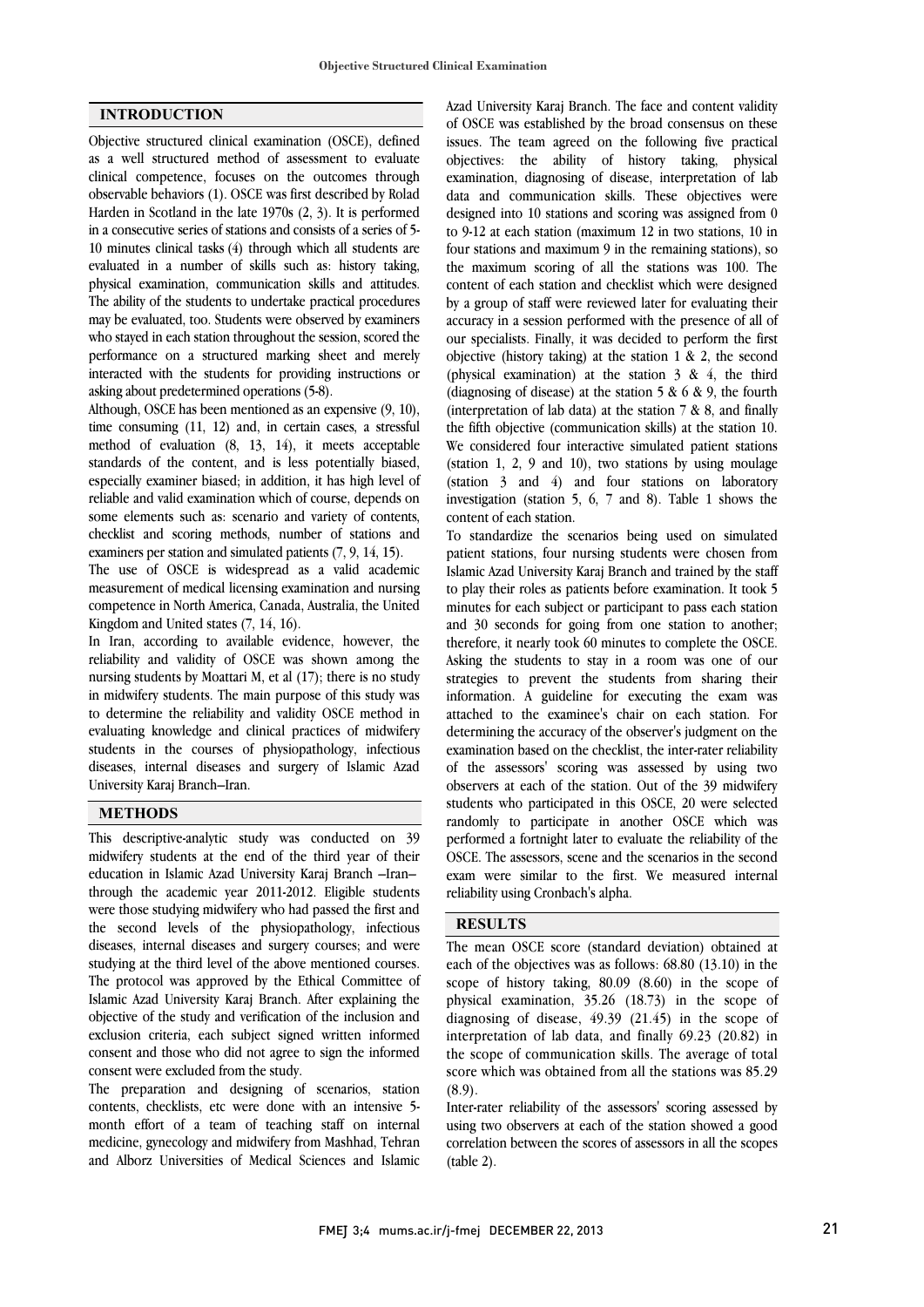## **INTRODUCTION**

Objective structured clinical examination (OSCE), defined as a well structured method of assessment to evaluate clinical competence, focuses on the outcomes through observable behaviors (1). OSCE was first described by Rolad Harden in Scotland in the late 1970s (2, 3). It is performed in a consecutive series of stations and consists of a series of 5- 10 minutes clinical tasks (4) through which all students are evaluated in a number of skills such as: history taking, physical examination, communication skills and attitudes. The ability of the students to undertake practical procedures may be evaluated, too. Students were observed by examiners who stayed in each station throughout the session, scored the performance on a structured marking sheet and merely interacted with the students for providing instructions or asking about predetermined operations (5-8).

Although, OSCE has been mentioned as an expensive (9, 10), time consuming (11, 12) and, in certain cases, a stressful method of evaluation (8, 13, 14), it meets acceptable standards of the content, and is less potentially biased, especially examiner biased; in addition, it has high level of reliable and valid examination which of course, depends on some elements such as: scenario and variety of contents, checklist and scoring methods, number of stations and examiners per station and simulated patients (7, 9, 14, 15).

The use of OSCE is widespread as a valid academic measurement of medical licensing examination and nursing competence in North America, Canada, Australia, the United Kingdom and United states (7, 14, 16).

In Iran, according to available evidence, however, the reliability and validity of OSCE was shown among the nursing students by Moattari M, et al (17); there is no study in midwifery students. The main purpose of this study was to determine the reliability and validity OSCE method in evaluating knowledge and clinical practices of midwifery students in the courses of physiopathology, infectious diseases, internal diseases and surgery of Islamic Azad University Karaj Branch–Iran.

#### **METHODS**

This descriptive-analytic study was conducted on 39 midwifery students at the end of the third year of their education in Islamic Azad University Karaj Branch –Iran– through the academic year 2011-2012. Eligible students were those studying midwifery who had passed the first and the second levels of the physiopathology, infectious diseases, internal diseases and surgery courses; and were studying at the third level of the above mentioned courses. The protocol was approved by the Ethical Committee of Islamic Azad University Karaj Branch. After explaining the objective of the study and verification of the inclusion and exclusion criteria, each subject signed written informed consent and those who did not agree to sign the informed consent were excluded from the study.

The preparation and designing of scenarios, station contents, checklists, etc were done with an intensive 5 month effort of a team of teaching staff on internal medicine, gynecology and midwifery from Mashhad, Tehran and Alborz Universities of Medical Sciences and Islamic

 Azad University Karaj Branch. The face and content validity of OSCE was established by the broad consensus on these issues. The team agreed on the following five practical objectives: the ability of history taking, physical data and communication skills. These objectives were designed into 10 stations and scoring was assigned from 0 to 9-12 at each station (maximum 12 in two stations, 10 in four stations and maximum 9 in the remaining stations), so content of each station and checklist which were designed by a group of staff were reviewed later for evaluating their accuracy in a session performed with the presence of all of our specialists. Finally, it was decided to perform the first (physical examination) at the station  $3 \& 4$ , the third (diagnosing of disease) at the station  $5 & 6 & 9$ , the fourth (interpretation of lab data) at the station  $7 & 8$ , and finally the fifth objective (communication skills) at the station 10. (station 1, 2, 9 and 10), two stations by using moulage (station 3 and 4) and four stations on laboratory investigation (station 5, 6, 7 and 8). Table 1 shows the content of each station. examination, diagnosing of disease, interpretation of lab the maximum scoring of all the stations was 100. The objective (history taking) at the station  $1 \& 2$ , the second We considered four interactive simulated patient stations

 patient stations, four nursing students were chosen from Islamic Azad University Karaj Branch and trained by the staff to play their roles as patients before examination. It took 5 minutes for each subject or participant to pass each station therefore, it nearly took 60 minutes to complete the OSCE. Asking the students to stay in a room was one of our strategies to prevent the students from sharing their information. A guideline for executing the exam was determining the accuracy of the observer's judgment on the examination based on the checklist, the inter-rater reliability of the assessors' scoring was assessed by using two observers at each of the station. Out of the 39 midwifery randomly to participate in another OSCE which was performed a fortnight later to evaluate the reliability of the OSCE. The assessors, scene and the scenarios in the second exam were similar to the first. We measured internal Î To standardize the scenarios being used on simulated and 30 seconds for going from one station to another; attached to the examinee's chair on each station. For students who participated in this OSCE, 20 were selected reliability using Cronbach's alpha.

## **RESULTS**

 The mean OSCE score (standard deviation) obtained at each of the objectives was as follows: 68.80 (13.10) in the physical examination,  $35.26$  (18.73) in the scope of diagnosing of disease, 49.39 (21.45) in the scope of interpretation of lab data, and finally 69.23 (20.82) in the scope of communication skills. The average of total  $(8.9).$ scope of history taking, 80.09 (8.60) in the scope of score which was obtained from all the stations was 85.29

 Inter-rater reliability of the assessors' scoring assessed by using two observers at each of the station showed a good correlation between the scores of assessors in all the scopes (table 2).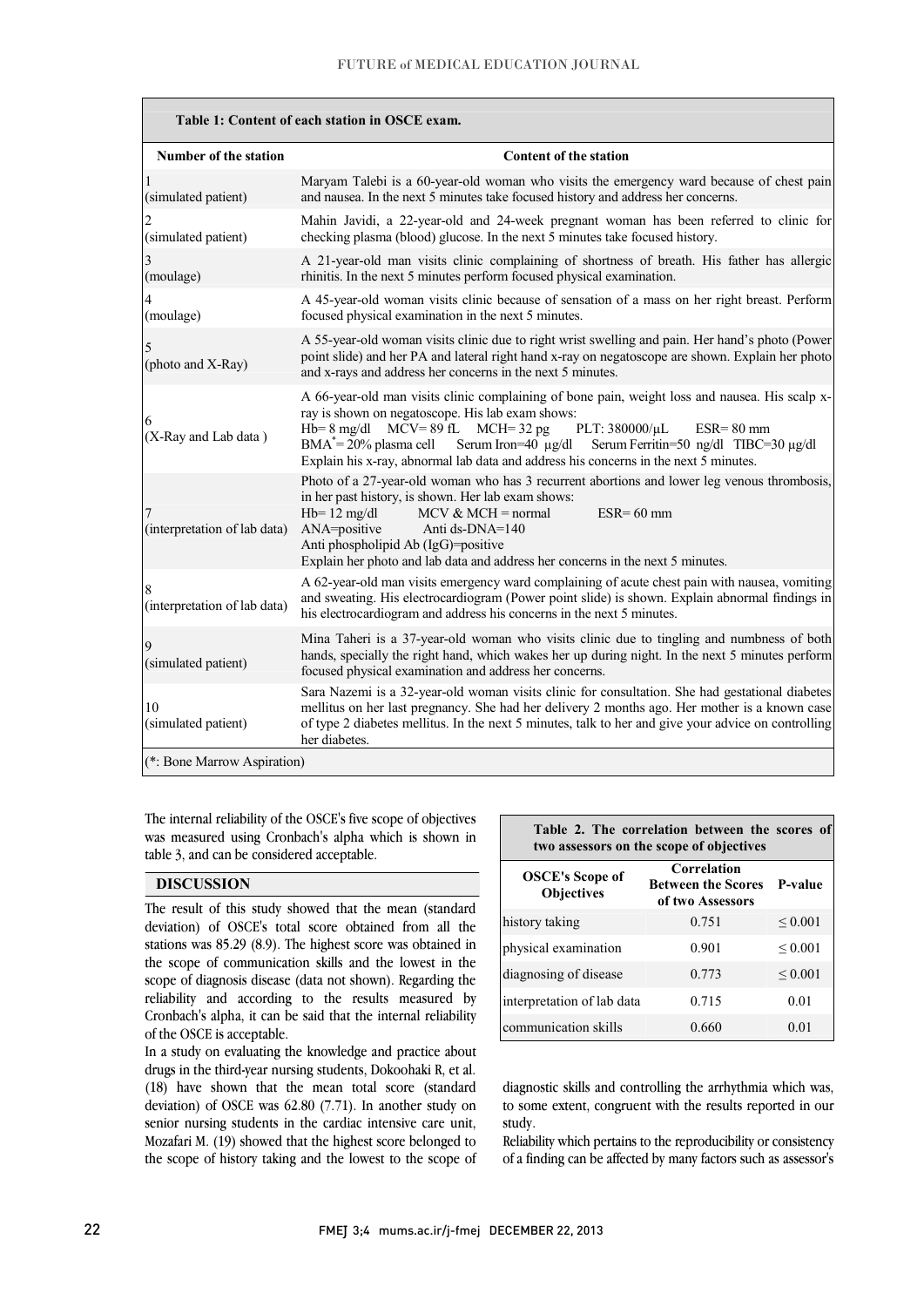| Table 1: Content of each station in OSCE exam. |                                                                                                                                                                                                                                                                                                                                                                                                                                  |  |  |
|------------------------------------------------|----------------------------------------------------------------------------------------------------------------------------------------------------------------------------------------------------------------------------------------------------------------------------------------------------------------------------------------------------------------------------------------------------------------------------------|--|--|
| <b>Number of the station</b>                   | <b>Content of the station</b>                                                                                                                                                                                                                                                                                                                                                                                                    |  |  |
| (simulated patient)                            | Maryam Talebi is a 60-year-old woman who visits the emergency ward because of chest pain<br>and nausea. In the next 5 minutes take focused history and address her concerns.                                                                                                                                                                                                                                                     |  |  |
| (simulated patient)                            | Mahin Javidi, a 22-year-old and 24-week pregnant woman has been referred to clinic for<br>checking plasma (blood) glucose. In the next 5 minutes take focused history.                                                                                                                                                                                                                                                           |  |  |
| (moulage)                                      | A 21-year-old man visits clinic complaining of shortness of breath. His father has allergic<br>rhinitis. In the next 5 minutes perform focused physical examination.                                                                                                                                                                                                                                                             |  |  |
| 4<br>(moulage)                                 | A 45-year-old woman visits clinic because of sensation of a mass on her right breast. Perform<br>focused physical examination in the next 5 minutes.                                                                                                                                                                                                                                                                             |  |  |
| (photo and X-Ray)                              | A 55-year-old woman visits clinic due to right wrist swelling and pain. Her hand's photo (Power<br>point slide) and her PA and lateral right hand x-ray on negatoscope are shown. Explain her photo<br>and x-rays and address her concerns in the next 5 minutes.                                                                                                                                                                |  |  |
| 6<br>(X-Ray and Lab data)                      | A 66-year-old man visits clinic complaining of bone pain, weight loss and nausea. His scalp x-<br>ray is shown on negatoscope. His lab exam shows:<br>$Hb=8$ mg/dl<br>$MCV = 89$ fL $MCH = 32$ pg<br>PLT: 380000/µL<br>$ESR = 80$ mm<br>$BMA^* = 20\%$ plasma cell<br>Serum Iron= $40 \mu g/dl$<br>Serum Ferritin=50 ng/dl TIBC=30 µg/dl<br>Explain his x-ray, abnormal lab data and address his concerns in the next 5 minutes. |  |  |
| (interpretation of lab data)                   | Photo of a 27-year-old woman who has 3 recurrent abortions and lower leg venous thrombosis,<br>in her past history, is shown. Her lab exam shows:<br>$Hb=12$ mg/dl<br>$MCV & MCH = normal$<br>$ESR = 60$ mm<br>ANA=positive<br>Anti ds-DNA=140<br>Anti phospholipid Ab (IgG)=positive<br>Explain her photo and lab data and address her concerns in the next 5 minutes.                                                          |  |  |
| 8<br>(interpretation of lab data)              | A 62-year-old man visits emergency ward complaining of acute chest pain with nausea, vomiting<br>and sweating. His electrocardiogram (Power point slide) is shown. Explain abnormal findings in<br>his electrocardiogram and address his concerns in the next 5 minutes.                                                                                                                                                         |  |  |
| 9<br>(simulated patient)                       | Mina Taheri is a 37-year-old woman who visits clinic due to tingling and numbness of both<br>hands, specially the right hand, which wakes her up during night. In the next 5 minutes perform<br>focused physical examination and address her concerns.                                                                                                                                                                           |  |  |
| 10<br>(simulated patient)                      | Sara Nazemi is a 32-year-old woman visits clinic for consultation. She had gestational diabetes<br>mellitus on her last pregnancy. She had her delivery 2 months ago. Her mother is a known case<br>of type 2 diabetes mellitus. In the next 5 minutes, talk to her and give your advice on controlling<br>her diabetes.                                                                                                         |  |  |
|                                                | (*: Bone Marrow Aspiration)                                                                                                                                                                                                                                                                                                                                                                                                      |  |  |

 The internal reliability of the OSCE's five scope of objectives was measured using Cronbach's alpha which is shown in table 3, and can be considered acceptable.

## **DISCUSSION**

 The result of this study showed that the mean (standard deviation) of OSCE's total score obtained from all the stations was 85.29 (8.9). The highest score was obtained in scope of diagnosis disease (data not shown). Regarding the reliability and according to the results measured by Cronbach's alpha, it can be said that the internal reliability the scope of communication skills and the lowest in the of the OSCE is acceptable.

drugs in the third-year nursing students, Dokoohaki R, et al. (18) have shown that the mean total score (standard deviation) of OSCE was 62.80 (7.71). In another study on senior nursing students in the cardiac intensive care unit, the scope of history taking and the lowest to the scope of In a study on evaluating the knowledge and practice about Mozafari M. (19) showed that the highest score belonged to

#### $\overline{a}$  **Table 2. The correlation between the scores of**  two assessors on the scope of objective

| The modebook on the beople of opletting     |                                                              |              |  |
|---------------------------------------------|--------------------------------------------------------------|--------------|--|
| <b>OSCE's Scope of</b><br><b>Objectives</b> | Correlation<br><b>Between the Scores</b><br>of two Assessors | P-value      |  |
| history taking                              | 0.751                                                        | ${}_{0.001}$ |  |
| physical examination                        | 0.901                                                        | ${}_{0.001}$ |  |
| diagnosing of disease                       | 0.773                                                        | ${}_{0.001}$ |  |
| interpretation of lab data                  | 0.715                                                        | 0.01         |  |
| communication skills                        | 0.660                                                        | 0.01         |  |

 diagnostic skills and controlling the arrhythmia which was, to some extent, congruent with the results reported in our study.

 of a finding can be affected by many factors such as assessor's Reliability which pertains to the reproducibility or consistency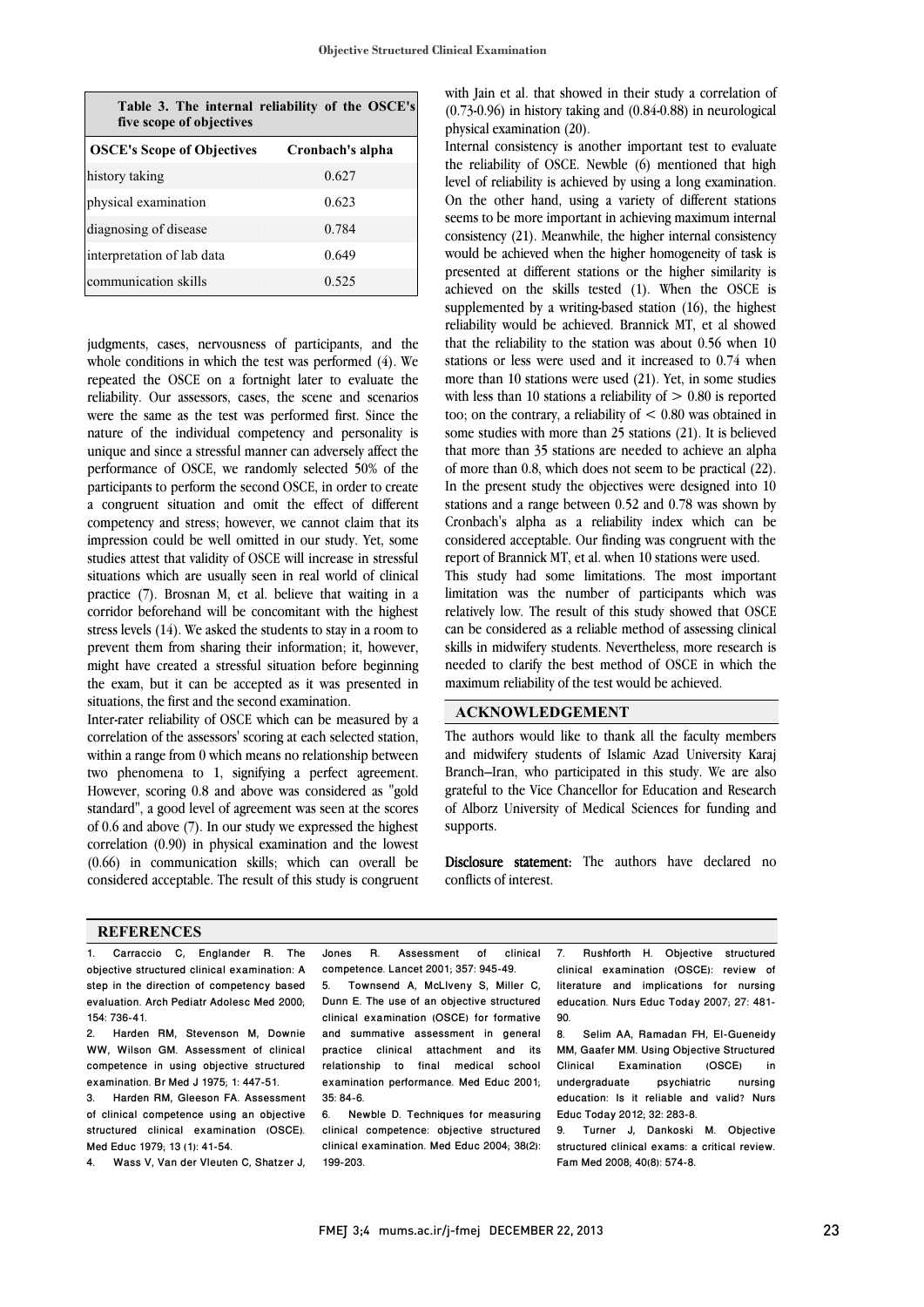| Table 3. The internal reliability of the OSCE's<br>five scope of objectives |                  |  |  |
|-----------------------------------------------------------------------------|------------------|--|--|
| <b>OSCE's Scope of Objectives</b>                                           | Cronbach's alpha |  |  |
| history taking                                                              | 0.627            |  |  |
| physical examination                                                        | 0.623            |  |  |
| diagnosing of disease                                                       | 0.784            |  |  |
| interpretation of lab data                                                  | 0.649            |  |  |
| communication skills                                                        | 0.525            |  |  |

judgments, cases, nervousness of participants, and the whole conditions in which the test was performed (4). We repeated the OSCE on a fortnight later to evaluate the reliability. Our assessors, cases, the scene and scenarios were the same as the test was performed first. Since the nature of the individual competency and personality is unique and since a stressful manner can adversely affect the performance of OSCE, we randomly selected 50% of the participants to perform the second OSCE, in order to create a congruent situation and omit the effect of different competency and stress; however, we cannot claim that its impression could be well omitted in our study. Yet, some studies attest that validity of OSCE will increase in stressful situations which are usually seen in real world of clinical practice (7). Brosnan M, et al. believe that waiting in a corridor beforehand will be concomitant with the highest stress levels (14). We asked the students to stay in a room to prevent them from sharing their information; it, however, might have created a stressful situation before beginning the exam, but it can be accepted as it was presented in situations, the first and the second examination.

Inter-rater reliability of OSCE which can be measured by a correlation of the assessors' scoring at each selected station, within a range from 0 which means no relationship between two phenomena to 1, signifying a perfect agreement. However, scoring 0.8 and above was considered as "gold standard", a good level of agreement was seen at the scores of 0.6 and above (7). In our study we expressed the highest correlation (0.90) in physical examination and the lowest (0.66) in communication skills; which can overall be considered acceptable. The result of this study is congruent  with Jain et al. that showed in their study a correlation of physical examination (20). (0.73-0.96) in history taking and (0.84-0.88) in neurological

 Internal consistency is another important test to evaluate the reliability of OSCE. Newble (6) mentioned that high level of reliability is achieved by using a long examination. seems to be more important in achieving maximum internal consistency (21). Meanwhile, the higher internal consistency would be achieved when the higher homogeneity of task is presented at different stations or the higher similarity is supplemented by a writing-based station  $(16)$ , the highest reliability would be achieved. Brannick MT, et al showed that the reliability to the station was about 0.56 when 10 stations or less were used and it increased to 0.74 when with less than 10 stations a reliability of  $> 0.80$  is reported too; on the contrary, a reliability of < 0.80 was obtained in some studies with more than 25 stations (21). It is believed that more than 35 stations are needed to achieve an alpha In the present study the objectives were designed into 10 stations and a range between 0.52 and 0.78 was shown by Cronbach's alpha as a reliability index which can be considered acceptable. Our finding was congruent with the On the other hand, using a variety of different stations achieved on the skills tested (1). When the OSCE is more than 10 stations were used (21). Yet, in some studies of more than 0.8, which does not seem to be practical (22). report of Brannick MT, et al. when 10 stations were used.

 This study had some limitations. The most important limitation was the number of participants which was relatively low. The result of this study showed that OSCE can be considered as a reliable method of assessing clinical needed to clarify the best method of OSCE in which the maximum reliability of the test would be achieved. skills in midwifery students. Nevertheless, more research is

# **ACKNOWLEDGEMENT**

 The authors would like to thank all the faculty members and midwifery students of Islamic Azad University Karaj Branch–Iran, who participated in this study. We are also grateful to the Vice Chancellor for Education and Research of Alborz University of Medical Sciences for funding and supports.

Disclosure statement: The authors have declared no conflicts of interest.

#### **REFERENCES**

1. Carraccio C, Englander R. The objective structured clinical examination: A step in the direction of competency based evaluation. Arch Pediatr Adolesc Med 2000; 154: 736-41.

2. Harden RM, Stevenson M, Downie WW, Wilson GM. Assessment of clinical competence in using objective structured examination. Br Med J 1975; 1: 447-51.

3. Harden RM, Gleeson FA. Assessment of clinical competence using an objective structured clinical examination (OSCE). Med Educ 1979; 13 (1): 41-54.

4. Wass V, Van der Vleuten C, Shatzer J,

I competence. Lancet 2001; 357: 945-49. Jones R. Assessment of clinical

Dunn E. The use of an objective structured clinical examination (OSCE) for formative and summative assessment in general .<br>relationship to final medical school examination performance. Med Educ 2001; 5. Townsend A, McLlveny S, Miller C, practice clinical attachment and its 35: 84-6.

 6. Newble D. Techniques for measuring clinical competence: objective structured clinical examination. Med Educ 2004; 38(2): 199-203.

7. Rushforth H. Objective structured clinical examination (OSCE): review of literature and implications for nursing education. Nurs Educ Today 2007; 27: 481- 90.

8. Selim AA, Ramadan FH, El-Gueneidy MM, Gaafer MM. Using Objective Structured<br>Clinical Examination (OSCE) in Examination (OSCE) in undergraduate psychiatric nursing education: Is it reliable and valid? Nurs Educ Today 2012; 32: 283-8.

9. Turner J, Dankoski M. Objective structured clinical exams: a critical review. Fam Med 2008; 40(8): 574-8.